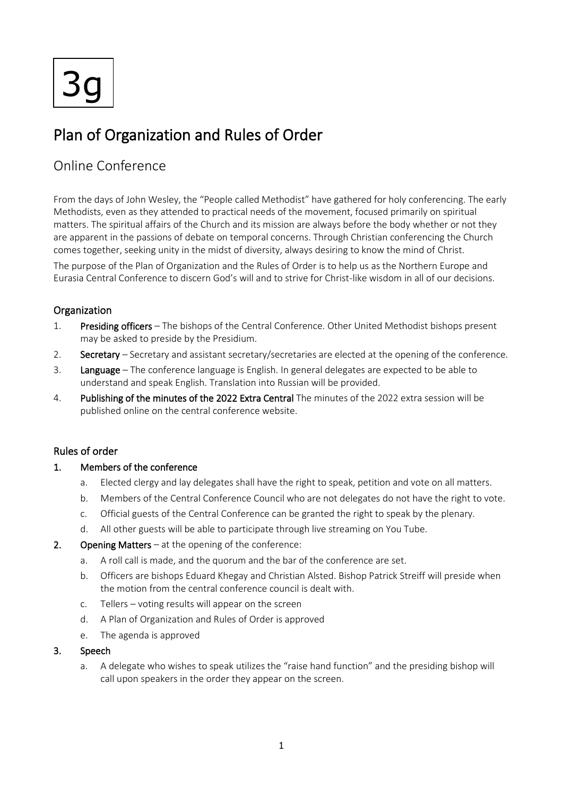3g

# Plan of Organization and Rules of Order

# Online Conference

From the days of John Wesley, the "People called Methodist" have gathered for holy conferencing. The early Methodists, even as they attended to practical needs of the movement, focused primarily on spiritual matters. The spiritual affairs of the Church and its mission are always before the body whether or not they are apparent in the passions of debate on temporal concerns. Through Christian conferencing the Church comes together, seeking unity in the midst of diversity, always desiring to know the mind of Christ.

The purpose of the Plan of Organization and the Rules of Order is to help us as the Northern Europe and Eurasia Central Conference to discern God's will and to strive for Christ-like wisdom in all of our decisions.

# **Organization**

- 1. Presiding officers The bishops of the Central Conference. Other United Methodist bishops present may be asked to preside by the Presidium.
- 2. Secretary Secretary and assistant secretary/secretaries are elected at the opening of the conference.
- 3. Language The conference language is English. In general delegates are expected to be able to understand and speak English. Translation into Russian will be provided.
- 4. Publishing of the minutes of the 2022 Extra Central The minutes of the 2022 extra session will be published online on the central conference website.

# Rules of order

### 1. Members of the conference

- a. Elected clergy and lay delegates shall have the right to speak, petition and vote on all matters.
- b. Members of the Central Conference Council who are not delegates do not have the right to vote.
- c. Official guests of the Central Conference can be granted the right to speak by the plenary.
- d. All other guests will be able to participate through live streaming on You Tube.

### 2. Opening Matters – at the opening of the conference:

- a. A roll call is made, and the quorum and the bar of the conference are set.
- b. Officers are bishops Eduard Khegay and Christian Alsted. Bishop Patrick Streiff will preside when the motion from the central conference council is dealt with.
- c. Tellers voting results will appear on the screen
- d. A Plan of Organization and Rules of Order is approved
- e. The agenda is approved

#### 3. Speech

a. A delegate who wishes to speak utilizes the "raise hand function" and the presiding bishop will call upon speakers in the order they appear on the screen.